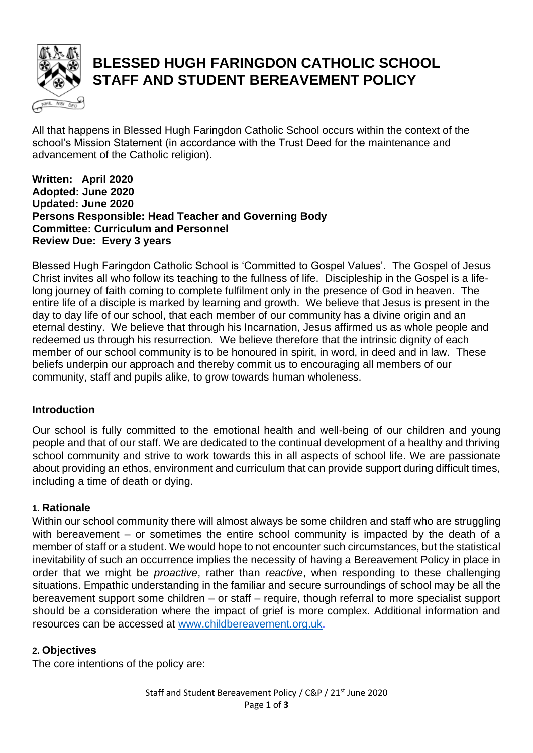

# **BLESSED HUGH FARINGDON CATHOLIC SCHOOL STAFF AND STUDENT BEREAVEMENT POLICY**

All that happens in Blessed Hugh Faringdon Catholic School occurs within the context of the school's Mission Statement (in accordance with the Trust Deed for the maintenance and advancement of the Catholic religion).

#### **Written: April 2020 Adopted: June 2020 Updated: June 2020 Persons Responsible: Head Teacher and Governing Body Committee: Curriculum and Personnel Review Due: Every 3 years**

Blessed Hugh Faringdon Catholic School is 'Committed to Gospel Values'. The Gospel of Jesus Christ invites all who follow its teaching to the fullness of life. Discipleship in the Gospel is a lifelong journey of faith coming to complete fulfilment only in the presence of God in heaven. The entire life of a disciple is marked by learning and growth. We believe that Jesus is present in the day to day life of our school, that each member of our community has a divine origin and an eternal destiny. We believe that through his Incarnation, Jesus affirmed us as whole people and redeemed us through his resurrection. We believe therefore that the intrinsic dignity of each member of our school community is to be honoured in spirit, in word, in deed and in law. These beliefs underpin our approach and thereby commit us to encouraging all members of our community, staff and pupils alike, to grow towards human wholeness.

## **Introduction**

Our school is fully committed to the emotional health and well-being of our children and young people and that of our staff. We are dedicated to the continual development of a healthy and thriving school community and strive to work towards this in all aspects of school life. We are passionate about providing an ethos, environment and curriculum that can provide support during difficult times, including a time of death or dying.

### **1. Rationale**

Within our school community there will almost always be some children and staff who are struggling with bereavement – or sometimes the entire school community is impacted by the death of a member of staff or a student. We would hope to not encounter such circumstances, but the statistical inevitability of such an occurrence implies the necessity of having a Bereavement Policy in place in order that we might be *proactive*, rather than *reactive*, when responding to these challenging situations. Empathic understanding in the familiar and secure surroundings of school may be all the bereavement support some children – or staff – require, though referral to more specialist support should be a consideration where the impact of grief is more complex. Additional information and resources can be accessed at [www.childbereavement.org.uk.](http://www.childbereavement.org.uk/)

### **2. Objectives**

The core intentions of the policy are: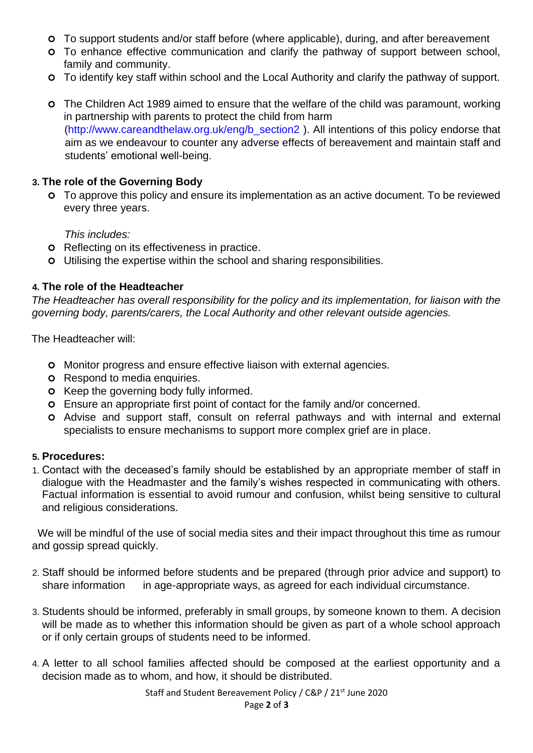- To support students and/or staff before (where applicable), during, and after bereavement
- To enhance effective communication and clarify the pathway of support between school, family and community.
- To identify key staff within school and the Local Authority and clarify the pathway of support.
- The Children Act 1989 aimed to ensure that the welfare of the child was paramount, working in partnership with parents to protect the child from harm (http://www.careandthelaw.org.uk/eng/b\_section2). All intentions of this policy endorse that aim as we endeavour to counter any adverse effects of bereavement and maintain staff and students' emotional well-being.

## **3. The role of the Governing Body**

 To approve this policy and ensure its implementation as an active document. To be reviewed every three years.

*This includes:* 

- **o** Reflecting on its effectiveness in practice.
- Utilising the expertise within the school and sharing responsibilities.

## **4. The role of the Headteacher**

*The Headteacher has overall responsibility for the policy and its implementation, for liaison with the governing body, parents/carers, the Local Authority and other relevant outside agencies.* 

The Headteacher will:

- **o** Monitor progress and ensure effective liaison with external agencies.
- **o** Respond to media enquiries.
- **o** Keep the governing body fully informed.
- Ensure an appropriate first point of contact for the family and/or concerned.
- Advise and support staff, consult on referral pathways and with internal and external specialists to ensure mechanisms to support more complex grief are in place.

### **5. Procedures:**

1. Contact with the deceased's family should be established by an appropriate member of staff in dialogue with the Headmaster and the family's wishes respected in communicating with others. Factual information is essential to avoid rumour and confusion, whilst being sensitive to cultural and religious considerations.

 We will be mindful of the use of social media sites and their impact throughout this time as rumour and gossip spread quickly.

- 2. Staff should be informed before students and be prepared (through prior advice and support) to share information in age-appropriate ways, as agreed for each individual circumstance.
- 3. Students should be informed, preferably in small groups, by someone known to them. A decision will be made as to whether this information should be given as part of a whole school approach or if only certain groups of students need to be informed.
- 4. A letter to all school families affected should be composed at the earliest opportunity and a decision made as to whom, and how, it should be distributed.